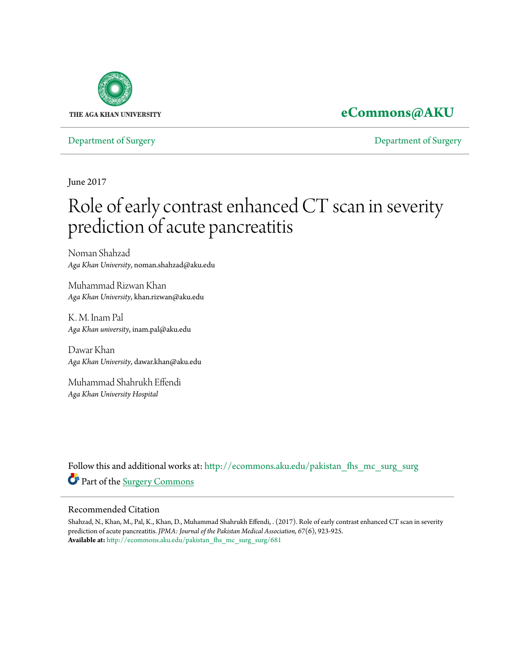

## **[eCommons@AKU](http://ecommons.aku.edu?utm_source=ecommons.aku.edu%2Fpakistan_fhs_mc_surg_surg%2F681&utm_medium=PDF&utm_campaign=PDFCoverPages)**

[Department of Surgery](http://ecommons.aku.edu/pakistan_fhs_mc_surg_surg?utm_source=ecommons.aku.edu%2Fpakistan_fhs_mc_surg_surg%2F681&utm_medium=PDF&utm_campaign=PDFCoverPages) [Department of Surgery](http://ecommons.aku.edu/pakistan_fhs_mc_surg?utm_source=ecommons.aku.edu%2Fpakistan_fhs_mc_surg_surg%2F681&utm_medium=PDF&utm_campaign=PDFCoverPages)

June 2017

# Role of early contrast enhanced CT scan in severity prediction of acute pancreatitis

Noman Shahzad *Aga Khan University*, noman.shahzad@aku.edu

Muhammad Rizwan Khan *Aga Khan University*, khan.rizwan@aku.edu

K. M. Inam Pal *Aga Khan university*, inam.pal@aku.edu

Dawar Khan *Aga Khan University*, dawar.khan@aku.edu

Muhammad Shahrukh Effendi *Aga Khan University Hospital*

Follow this and additional works at: [http://ecommons.aku.edu/pakistan\\_fhs\\_mc\\_surg\\_surg](http://ecommons.aku.edu/pakistan_fhs_mc_surg_surg?utm_source=ecommons.aku.edu%2Fpakistan_fhs_mc_surg_surg%2F681&utm_medium=PDF&utm_campaign=PDFCoverPages) Part of the [Surgery Commons](http://network.bepress.com/hgg/discipline/706?utm_source=ecommons.aku.edu%2Fpakistan_fhs_mc_surg_surg%2F681&utm_medium=PDF&utm_campaign=PDFCoverPages)

#### Recommended Citation

Shahzad, N., Khan, M., Pal, K., Khan, D., Muhammad Shahrukh Effendi, . (2017). Role of early contrast enhanced CT scan in severity prediction of acute pancreatitis. *JPMA: Journal of the Pakistan Medical Association, 67*(6), 923-925. **Available at:** [http://ecommons.aku.edu/pakistan\\_fhs\\_mc\\_surg\\_surg/681](http://ecommons.aku.edu/pakistan_fhs_mc_surg_surg/681)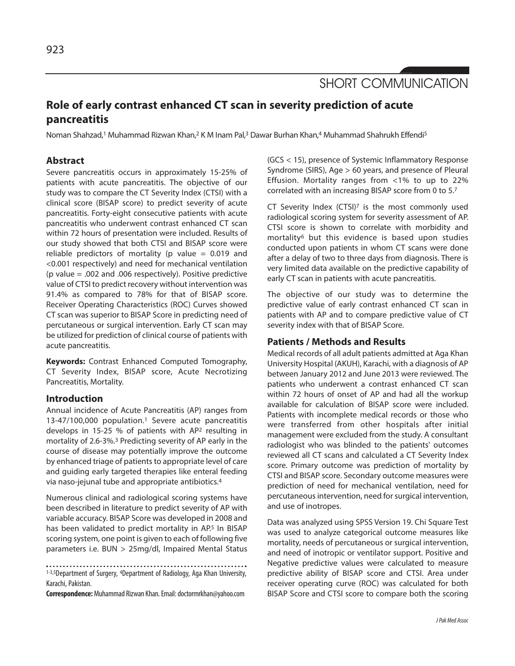SHORT COMMUNICATION

### **Role of early contrast enhanced CT scan in severity prediction of acute pancreatitis**

Noman Shahzad,<sup>1</sup> Muhammad Rizwan Khan,<sup>2</sup> K M Inam Pal,<sup>3</sup> Dawar Burhan Khan,<sup>4</sup> Muhammad Shahrukh Effendi<sup>5</sup>

#### **Abstract**

Severe pancreatitis occurs in approximately 15-25% of patients with acute pancreatitis. The objective of our study was to compare the CT Severity Index (CTSI) with a clinical score (BISAP score) to predict severity of acute pancreatitis. Forty-eight consecutive patients with acute pancreatitis who underwent contrast enhanced CT scan within 72 hours of presentation were included. Results of our study showed that both CTSI and BISAP score were reliable predictors of mortality (p value  $= 0.019$  and <0.001 respectively) and need for mechanical ventilation (p value = .002 and .006 respectively). Positive predictive value of CTSI to predict recovery without intervention was 91.4% as compared to 78% for that of BISAP score. Receiver Operating Characteristics (ROC) Curves showed CT scan was superior to BISAP Score in predicting need of percutaneous or surgical intervention. Early CT scan may be utilized for prediction of clinical course of patients with acute pancreatitis.

**Keywords:** Contrast Enhanced Computed Tomography, CT Severity Index, BISAP score, Acute Necrotizing Pancreatitis, Mortality.

#### **Introduction**

Annual incidence of Acute Pancreatitis (AP) ranges from 13-47/100,000 population.<sup>1</sup> Severe acute pancreatitis develops in 15-25 % of patients with AP<sup>2</sup> resulting in mortality of 2.6-3%.<sup>3</sup> Predicting severity of AP early in the course of disease may potentially improve the outcome by enhanced triage of patients to appropriate level of care and guiding early targeted therapies like enteral feeding via naso-jejunal tube and appropriate antibiotics.<sup>4</sup>

Numerous clinical and radiological scoring systems have been described in literature to predict severity of AP with variable accuracy. BISAP Score was developed in 2008 and has been validated to predict mortality in AP.<sup>5</sup> In BISAP scoring system, one point is given to each of following five parameters i.e. BUN > 25mg/dl, Impaired Mental Status

1-3,5Department of Surgery, <sup>4</sup>Department of Radiology, Aga Khan University, Karachi, Pakistan.

**Correspondence:**Muhammad Rizwan Khan. Email: doctormrkhan@yahoo.com

(GCS < 15), presence of Systemic Inflammatory Response Syndrome (SIRS), Age > 60 years, and presence of Pleural Effusion. Mortality ranges from <1% to up to 22% correlated with an increasing BISAP score from 0 to 5.<sup>7</sup>

CT Severity Index (CTSI)<sup>7</sup> is the most commonly used radiological scoring system for severity assessment of AP. CTSI score is shown to correlate with morbidity and mortality<sup>6</sup> but this evidence is based upon studies conducted upon patients in whom CT scans were done after a delay of two to three days from diagnosis. There is very limited data available on the predictive capability of early CT scan in patients with acute pancreatitis.

The objective of our study was to determine the predictive value of early contrast enhanced CT scan in patients with AP and to compare predictive value of CT severity index with that of BISAP Score.

#### **Patients / Methods and Results**

Medical records of all adult patients admitted at Aga Khan University Hospital (AKUH), Karachi, with a diagnosis of AP between January 2012 and June 2013 were reviewed. The patients who underwent a contrast enhanced CT scan within 72 hours of onset of AP and had all the workup available for calculation of BISAP score were included. Patients with incomplete medical records or those who were transferred from other hospitals after initial management were excluded from the study. A consultant radiologist who was blinded to the patients' outcomes reviewed all CT scans and calculated a CT Severity Index score. Primary outcome was prediction of mortality by CTSI and BISAP score. Secondary outcome measures were prediction of need for mechanical ventilation, need for percutaneous intervention, need for surgical intervention, and use of inotropes.

Data was analyzed using SPSS Version 19. Chi Square Test was used to analyze categorical outcome measures like mortality, needs of percutaneous or surgical intervention, and need of inotropic or ventilator support. Positive and Negative predictive values were calculated to measure predictive ability of BISAP score and CTSI. Area under receiver operating curve (ROC) was calculated for both BISAP Score and CTSI score to compare both the scoring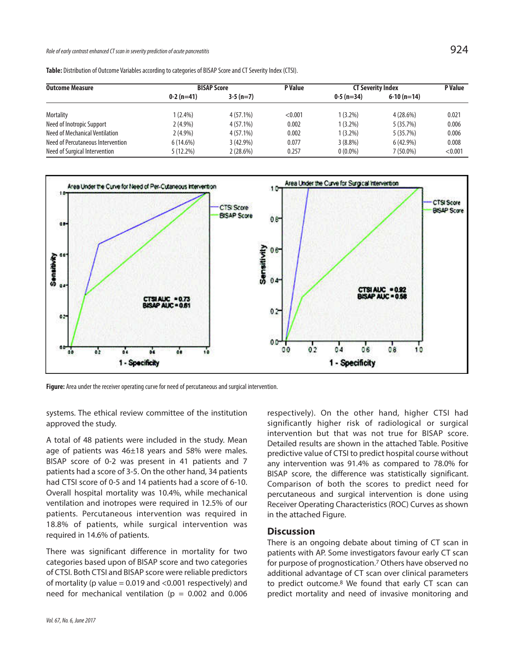Role of early contrast enhanced CT scan in severity prediction of acute pancreatitis  $924$ 

| <b>Outcome Measure</b>            | <b>BISAP Score</b> |             | P Value | <b>CT Severity Index</b> |              | <b>P</b> Value |
|-----------------------------------|--------------------|-------------|---------|--------------------------|--------------|----------------|
|                                   | $0-2(n=41)$        | $3-5(n=7)$  |         | $0-5(n=34)$              | $6-10(n=14)$ |                |
| Mortality                         | $1(2.4\%)$         | $4(57.1\%)$ | < 0.001 | $1(3.2\%)$               | $4(28.6\%)$  | 0.021          |
| Need of Inotropic Support         | $2(4.9\%)$         | $4(57.1\%)$ | 0.002   | $1(3.2\%)$               | 5 (35.7%)    | 0.006          |
| Need of Mechanical Ventilation    | $2(4.9\%)$         | $4(57.1\%)$ | 0.002   | $1(3.2\%)$               | 5(35.7%)     | 0.006          |
| Need of Percutaneous Intervention | 6(14.6%)           | $3(42.9\%)$ | 0.077   | $3(8.8\%)$               | $6(42.9\%)$  | 0.008          |
| Need of Surgical Intervention     | 5(12.2%)           | 2(28.6%)    | 0.257   | $0(0.0\%)$               | 7 (50.0%)    | < 0.001        |

**Table:** Distribution of Outcome Variables according to categories of BISAP Score and CT Severity Index (CTSI).



**Figure:** Area under the receiver operating curve for need of percutaneous and surgical intervention.

systems. The ethical review committee of the institution approved the study.

A total of 48 patients were included in the study. Mean age of patients was  $46\pm18$  years and 58% were males. BISAP score of 0-2 was present in 41 patients and 7 patients had a score of 3-5. On the other hand, 34 patients had CTSI score of 0-5 and 14 patients had a score of 6-10. Overall hospital mortality was 10.4%, while mechanical ventilation and inotropes were required in 12.5% of our patients. Percutaneous intervention was required in 18.8% of patients, while surgical intervention was required in 14.6% of patients.

There was significant difference in mortality for two categories based upon of BISAP score and two categories of CTSI. Both CTSI and BISAP score were reliable predictors of mortality (p value =  $0.019$  and < $0.001$  respectively) and need for mechanical ventilation ( $p = 0.002$  and 0.006

respectively). On the other hand, higher CTSI had significantly higher risk of radiological or surgical intervention but that was not true for BISAP score. Detailed results are shown in the attached Table. Positive predictive value of CTSI to predict hospital course without any intervention was 91.4% as compared to 78.0% for BISAP score, the difference was statistically significant. Comparison of both the scores to predict need for percutaneous and surgical intervention is done using Receiver Operating Characteristics (ROC) Curves as shown in the attached Figure.

#### **Discussion**

There is an ongoing debate about timing of CT scan in patients with AP. Some investigators favour early CT scan for purpose of prognostication.<sup>7</sup> Others have observed no additional advantage of CT scan over clinical parameters to predict outcome.<sup>8</sup> We found that early CT scan can predict mortality and need of invasive monitoring and